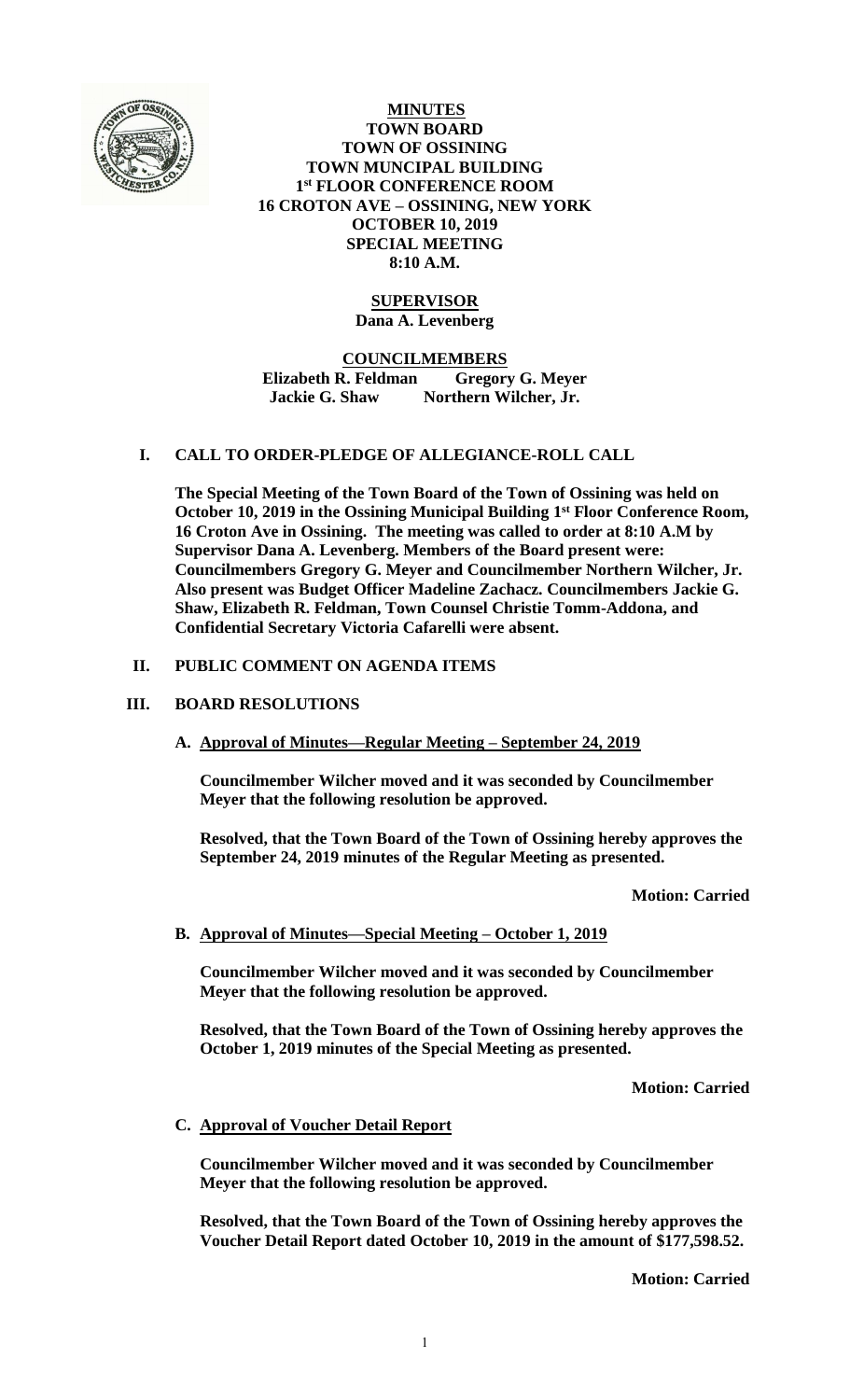

**MINUTES TOWN BOARD TOWN OF OSSINING TOWN MUNCIPAL BUILDING 1 st FLOOR CONFERENCE ROOM 16 CROTON AVE – OSSINING, NEW YORK OCTOBER 10, 2019 SPECIAL MEETING 8:10 A.M.**

## **SUPERVISOR Dana A. Levenberg**

**COUNCILMEMBERS Elizabeth R. Feldman Gregory G. Meyer Jackie G. Shaw Northern Wilcher, Jr.**

## **I. CALL TO ORDER-PLEDGE OF ALLEGIANCE-ROLL CALL**

**The Special Meeting of the Town Board of the Town of Ossining was held on October 10, 2019 in the Ossining Municipal Building 1st Floor Conference Room, 16 Croton Ave in Ossining. The meeting was called to order at 8:10 A.M by Supervisor Dana A. Levenberg. Members of the Board present were: Councilmembers Gregory G. Meyer and Councilmember Northern Wilcher, Jr. Also present was Budget Officer Madeline Zachacz. Councilmembers Jackie G. Shaw, Elizabeth R. Feldman, Town Counsel Christie Tomm-Addona, and Confidential Secretary Victoria Cafarelli were absent.**

## **II. PUBLIC COMMENT ON AGENDA ITEMS**

### **III. BOARD RESOLUTIONS**

**A. Approval of Minutes—Regular Meeting – September 24, 2019**

**Councilmember Wilcher moved and it was seconded by Councilmember Meyer that the following resolution be approved.**

**Resolved, that the Town Board of the Town of Ossining hereby approves the September 24, 2019 minutes of the Regular Meeting as presented.**

**Motion: Carried**

## **B. Approval of Minutes—Special Meeting – October 1, 2019**

**Councilmember Wilcher moved and it was seconded by Councilmember Meyer that the following resolution be approved.**

**Resolved, that the Town Board of the Town of Ossining hereby approves the October 1, 2019 minutes of the Special Meeting as presented.**

**Motion: Carried**

#### **C. Approval of Voucher Detail Report**

**Councilmember Wilcher moved and it was seconded by Councilmember Meyer that the following resolution be approved.**

**Resolved, that the Town Board of the Town of Ossining hereby approves the Voucher Detail Report dated October 10, 2019 in the amount of \$177,598.52.**

**Motion: Carried**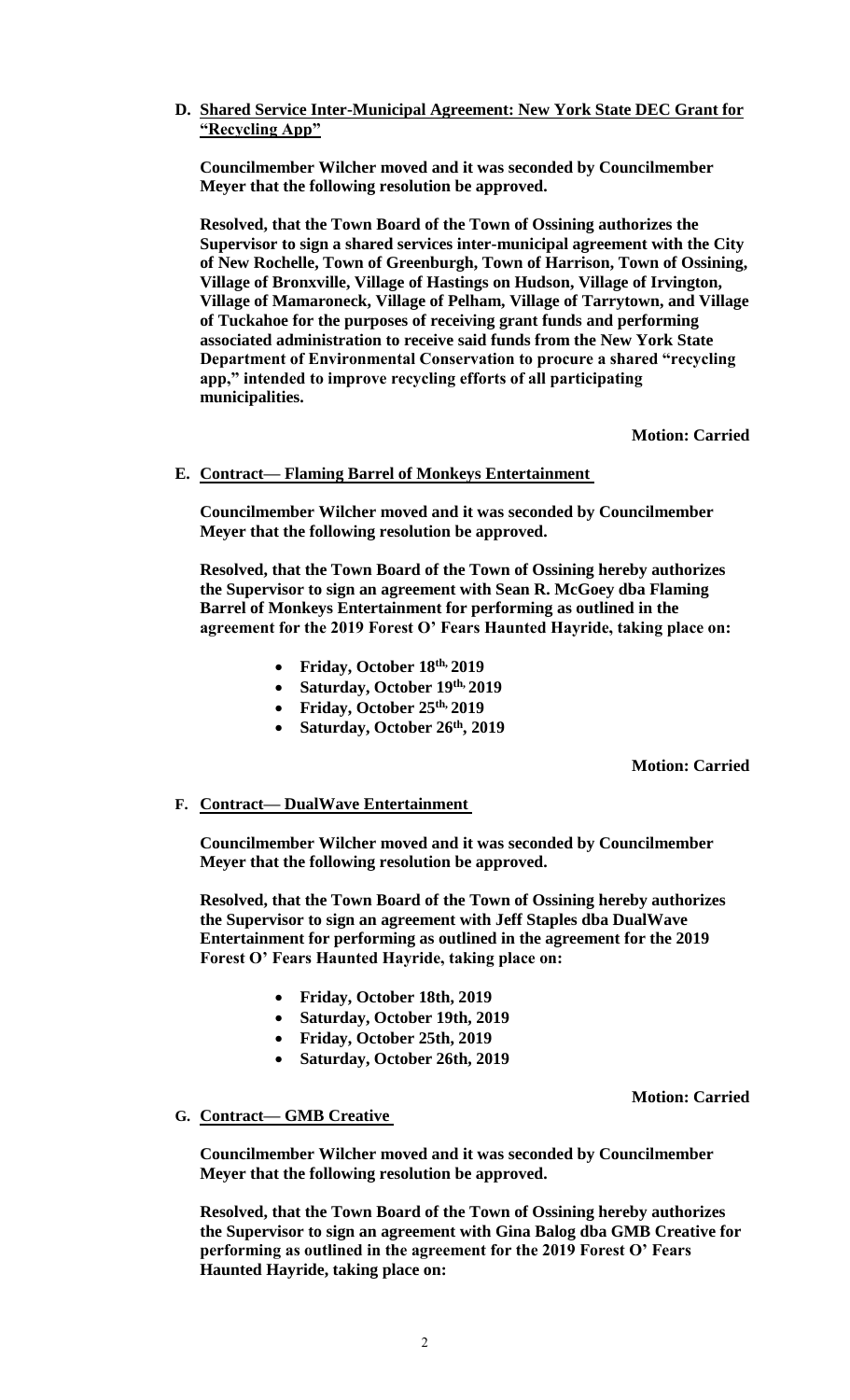## **D. Shared Service Inter-Municipal Agreement: New York State DEC Grant for "Recycling App"**

**Councilmember Wilcher moved and it was seconded by Councilmember Meyer that the following resolution be approved.**

**Resolved, that the Town Board of the Town of Ossining authorizes the Supervisor to sign a shared services inter-municipal agreement with the City of New Rochelle, Town of Greenburgh, Town of Harrison, Town of Ossining, Village of Bronxville, Village of Hastings on Hudson, Village of Irvington, Village of Mamaroneck, Village of Pelham, Village of Tarrytown, and Village of Tuckahoe for the purposes of receiving grant funds and performing associated administration to receive said funds from the New York State Department of Environmental Conservation to procure a shared "recycling app," intended to improve recycling efforts of all participating municipalities.**

**Motion: Carried**

## **E. Contract— Flaming Barrel of Monkeys Entertainment**

**Councilmember Wilcher moved and it was seconded by Councilmember Meyer that the following resolution be approved.**

**Resolved, that the Town Board of the Town of Ossining hereby authorizes the Supervisor to sign an agreement with Sean R. McGoey dba Flaming Barrel of Monkeys Entertainment for performing as outlined in the agreement for the 2019 Forest O' Fears Haunted Hayride, taking place on:**

- **Friday, October 18th, 2019**
- **Saturday, October 19th, 2019**
- **Friday, October 25th, 2019**
- **Saturday, October 26th, 2019**

**Motion: Carried**

## **F. Contract— DualWave Entertainment**

**Councilmember Wilcher moved and it was seconded by Councilmember Meyer that the following resolution be approved.**

**Resolved, that the Town Board of the Town of Ossining hereby authorizes the Supervisor to sign an agreement with Jeff Staples dba DualWave Entertainment for performing as outlined in the agreement for the 2019 Forest O' Fears Haunted Hayride, taking place on:**

- **Friday, October 18th, 2019**
- **Saturday, October 19th, 2019**
- **Friday, October 25th, 2019**
- **Saturday, October 26th, 2019**

**Motion: Carried**

## **G. Contract— GMB Creative**

**Councilmember Wilcher moved and it was seconded by Councilmember Meyer that the following resolution be approved.**

**Resolved, that the Town Board of the Town of Ossining hereby authorizes the Supervisor to sign an agreement with Gina Balog dba GMB Creative for performing as outlined in the agreement for the 2019 Forest O' Fears Haunted Hayride, taking place on:**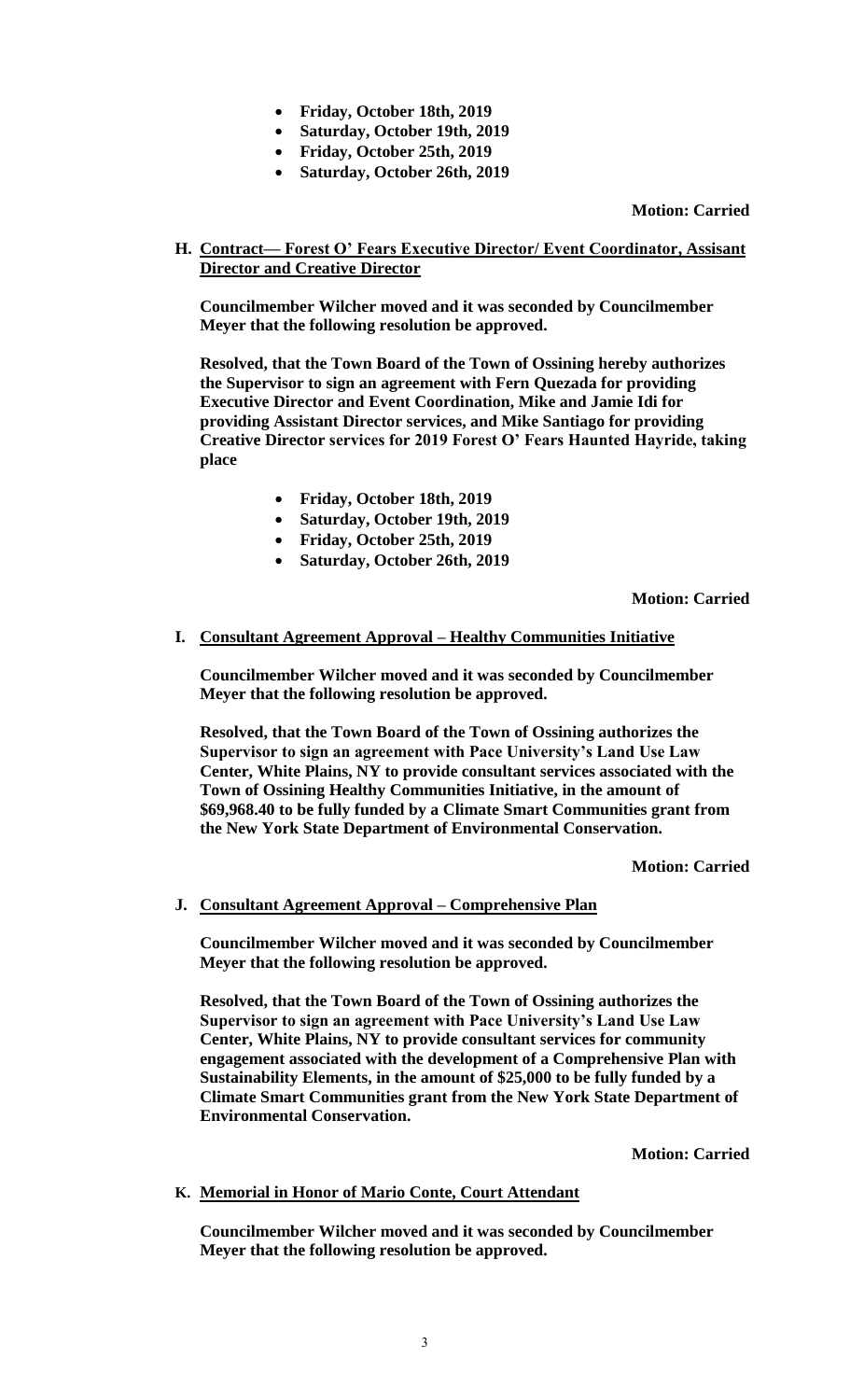- **Friday, October 18th, 2019**
- **Saturday, October 19th, 2019**
- **Friday, October 25th, 2019**
- **Saturday, October 26th, 2019**

**Motion: Carried**

**H. Contract— Forest O' Fears Executive Director/ Event Coordinator, Assisant Director and Creative Director**

**Councilmember Wilcher moved and it was seconded by Councilmember Meyer that the following resolution be approved.**

**Resolved, that the Town Board of the Town of Ossining hereby authorizes the Supervisor to sign an agreement with Fern Quezada for providing Executive Director and Event Coordination, Mike and Jamie Idi for providing Assistant Director services, and Mike Santiago for providing Creative Director services for 2019 Forest O' Fears Haunted Hayride, taking place**

- **Friday, October 18th, 2019**
- **Saturday, October 19th, 2019**
- **Friday, October 25th, 2019**
- **Saturday, October 26th, 2019**

**Motion: Carried**

## **I. Consultant Agreement Approval – Healthy Communities Initiative**

**Councilmember Wilcher moved and it was seconded by Councilmember Meyer that the following resolution be approved.**

**Resolved, that the Town Board of the Town of Ossining authorizes the Supervisor to sign an agreement with Pace University's Land Use Law Center, White Plains, NY to provide consultant services associated with the Town of Ossining Healthy Communities Initiative, in the amount of \$69,968.40 to be fully funded by a Climate Smart Communities grant from the New York State Department of Environmental Conservation.**

**Motion: Carried**

## **J. Consultant Agreement Approval – Comprehensive Plan**

**Councilmember Wilcher moved and it was seconded by Councilmember Meyer that the following resolution be approved.**

**Resolved, that the Town Board of the Town of Ossining authorizes the Supervisor to sign an agreement with Pace University's Land Use Law Center, White Plains, NY to provide consultant services for community engagement associated with the development of a Comprehensive Plan with Sustainability Elements, in the amount of \$25,000 to be fully funded by a Climate Smart Communities grant from the New York State Department of Environmental Conservation.**

**Motion: Carried**

## **K. Memorial in Honor of Mario Conte, Court Attendant**

**Councilmember Wilcher moved and it was seconded by Councilmember Meyer that the following resolution be approved.**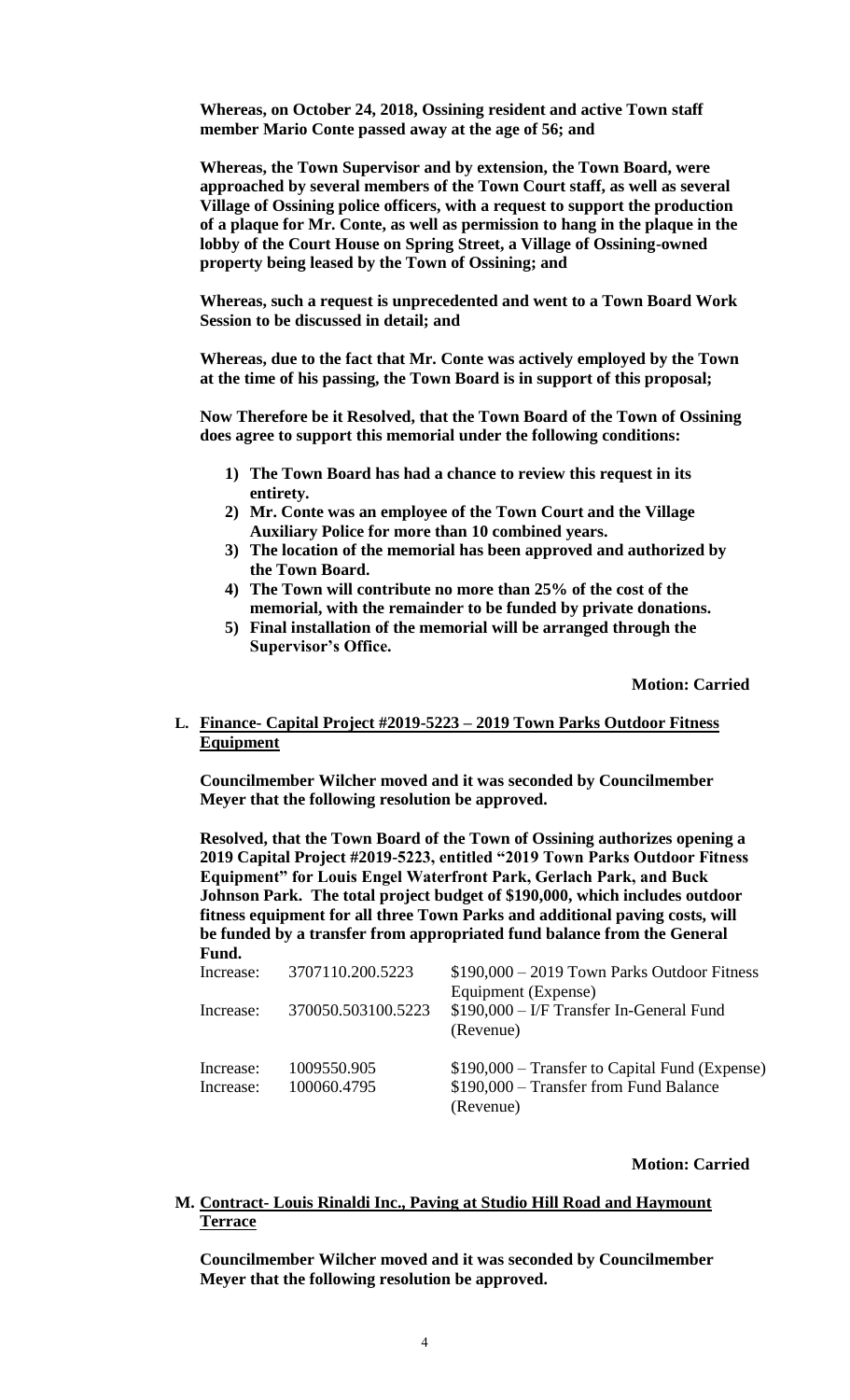**Whereas, on October 24, 2018, Ossining resident and active Town staff member Mario Conte passed away at the age of 56; and**

**Whereas, the Town Supervisor and by extension, the Town Board, were approached by several members of the Town Court staff, as well as several Village of Ossining police officers, with a request to support the production of a plaque for Mr. Conte, as well as permission to hang in the plaque in the lobby of the Court House on Spring Street, a Village of Ossining-owned property being leased by the Town of Ossining; and**

**Whereas, such a request is unprecedented and went to a Town Board Work Session to be discussed in detail; and**

**Whereas, due to the fact that Mr. Conte was actively employed by the Town at the time of his passing, the Town Board is in support of this proposal;**

**Now Therefore be it Resolved, that the Town Board of the Town of Ossining does agree to support this memorial under the following conditions:**

- **1) The Town Board has had a chance to review this request in its entirety.**
- **2) Mr. Conte was an employee of the Town Court and the Village Auxiliary Police for more than 10 combined years.**
- **3) The location of the memorial has been approved and authorized by the Town Board.**
- **4) The Town will contribute no more than 25% of the cost of the memorial, with the remainder to be funded by private donations.**
- **5) Final installation of the memorial will be arranged through the Supervisor's Office.**

**Motion: Carried**

### **L. Finance- Capital Project #2019-5223 – 2019 Town Parks Outdoor Fitness Equipment**

**Councilmember Wilcher moved and it was seconded by Councilmember Meyer that the following resolution be approved.**

**Resolved, that the Town Board of the Town of Ossining authorizes opening a 2019 Capital Project #2019-5223, entitled "2019 Town Parks Outdoor Fitness Equipment" for Louis Engel Waterfront Park, Gerlach Park, and Buck Johnson Park. The total project budget of \$190,000, which includes outdoor fitness equipment for all three Town Parks and additional paving costs, will be funded by a transfer from appropriated fund balance from the General Fund.** 

| Increase:              | 3707110.200.5223           | $$190,000 - 2019$ Town Parks Outdoor Fitness                                                           |
|------------------------|----------------------------|--------------------------------------------------------------------------------------------------------|
| Increase:              | 370050.503100.5223         | Equipment (Expense)<br>\$190,000 - I/F Transfer In-General Fund<br>(Revenue)                           |
| Increase:<br>Increase: | 1009550.905<br>100060.4795 | \$190,000 – Transfer to Capital Fund (Expense)<br>$$190,000$ – Transfer from Fund Balance<br>(Revenue) |

#### **Motion: Carried**

### **M. Contract- Louis Rinaldi Inc., Paving at Studio Hill Road and Haymount Terrace**

**Councilmember Wilcher moved and it was seconded by Councilmember Meyer that the following resolution be approved.**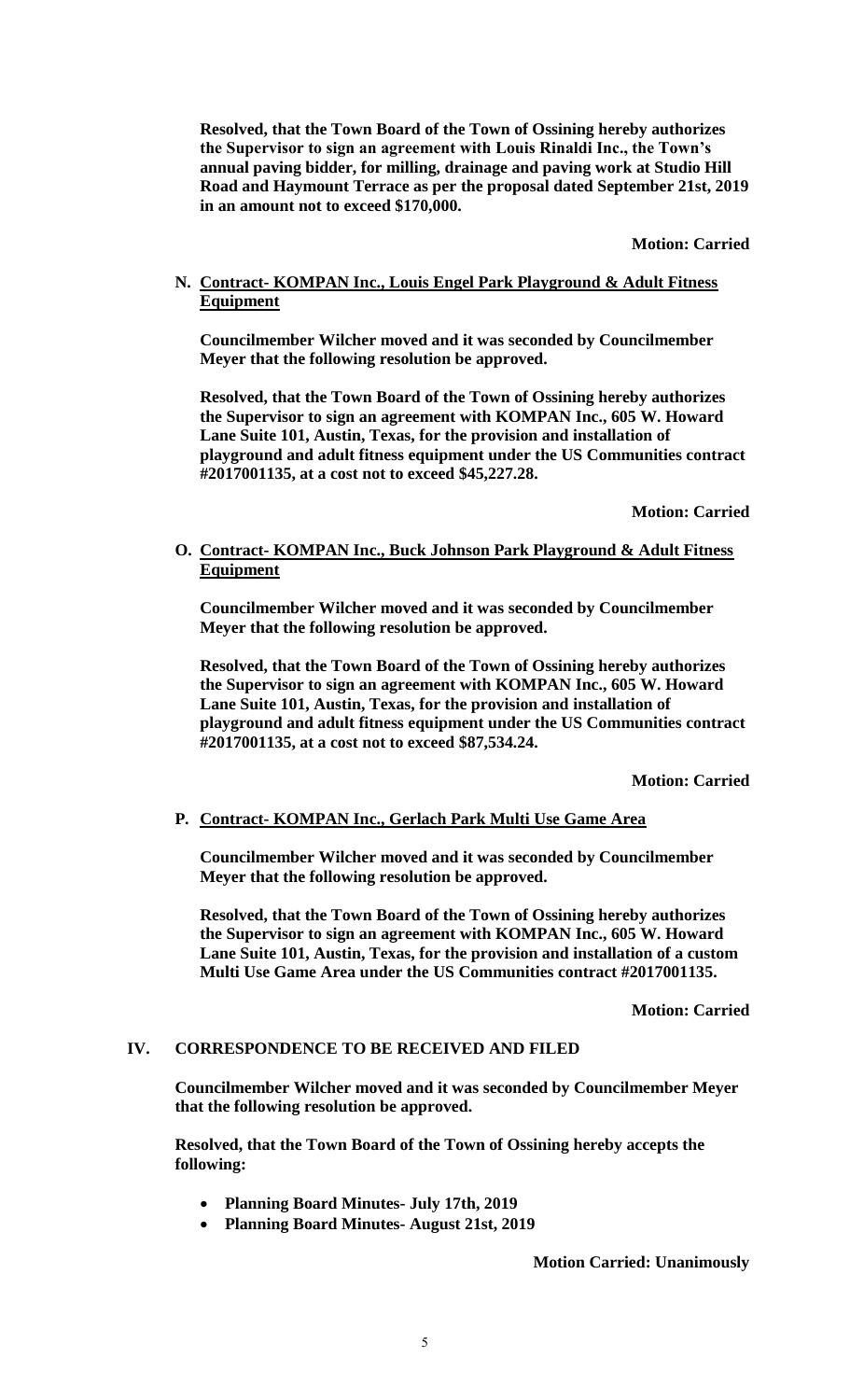**Resolved, that the Town Board of the Town of Ossining hereby authorizes the Supervisor to sign an agreement with Louis Rinaldi Inc., the Town's annual paving bidder, for milling, drainage and paving work at Studio Hill Road and Haymount Terrace as per the proposal dated September 21st, 2019 in an amount not to exceed \$170,000.**

**Motion: Carried**

# **N. Contract- KOMPAN Inc., Louis Engel Park Playground & Adult Fitness Equipment**

**Councilmember Wilcher moved and it was seconded by Councilmember Meyer that the following resolution be approved.**

**Resolved, that the Town Board of the Town of Ossining hereby authorizes the Supervisor to sign an agreement with KOMPAN Inc., 605 W. Howard Lane Suite 101, Austin, Texas, for the provision and installation of playground and adult fitness equipment under the US Communities contract #2017001135, at a cost not to exceed \$45,227.28.**

**Motion: Carried**

## **O. Contract- KOMPAN Inc., Buck Johnson Park Playground & Adult Fitness Equipment**

**Councilmember Wilcher moved and it was seconded by Councilmember Meyer that the following resolution be approved.**

**Resolved, that the Town Board of the Town of Ossining hereby authorizes the Supervisor to sign an agreement with KOMPAN Inc., 605 W. Howard Lane Suite 101, Austin, Texas, for the provision and installation of playground and adult fitness equipment under the US Communities contract #2017001135, at a cost not to exceed \$87,534.24.**

**Motion: Carried**

## **P. Contract- KOMPAN Inc., Gerlach Park Multi Use Game Area**

**Councilmember Wilcher moved and it was seconded by Councilmember Meyer that the following resolution be approved.**

**Resolved, that the Town Board of the Town of Ossining hereby authorizes the Supervisor to sign an agreement with KOMPAN Inc., 605 W. Howard Lane Suite 101, Austin, Texas, for the provision and installation of a custom Multi Use Game Area under the US Communities contract #2017001135.**

## **Motion: Carried**

## **IV. CORRESPONDENCE TO BE RECEIVED AND FILED**

**Councilmember Wilcher moved and it was seconded by Councilmember Meyer that the following resolution be approved.**

**Resolved, that the Town Board of the Town of Ossining hereby accepts the following:**

- **Planning Board Minutes- July 17th, 2019**
- **Planning Board Minutes- August 21st, 2019**

**Motion Carried: Unanimously**